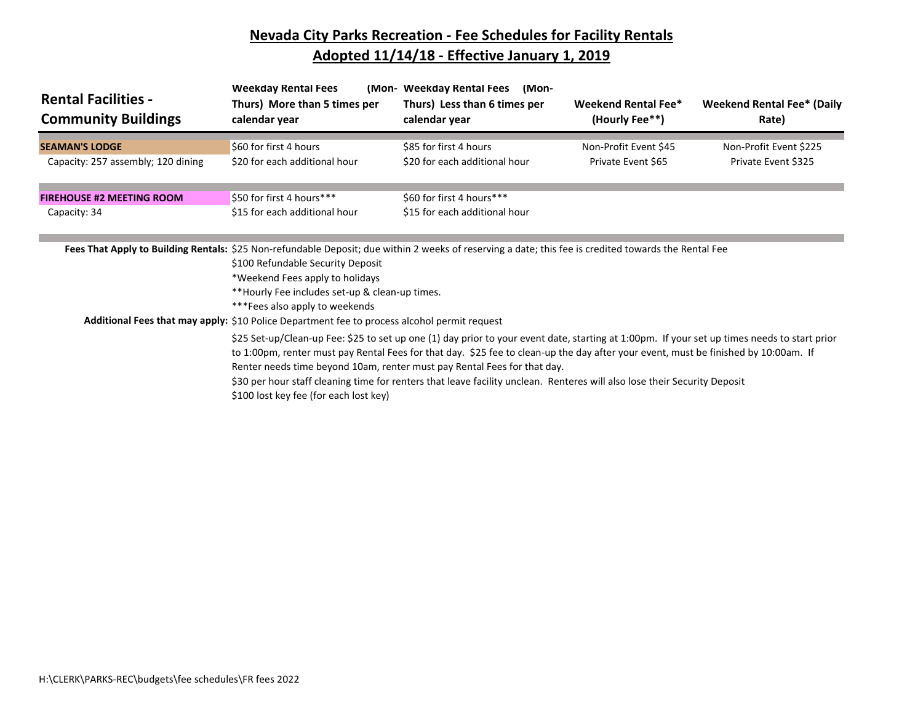## **Nevada City Parks Recreation - Fee Schedules for Facility Rentals Adopted 11/14/18 - Effective January 1, 2019**

| <b>Rental Facilities -</b><br><b>Community Buildings</b> | <b>Weekday Rental Fees</b><br>Thurs) More than 5 times per<br>calendar year                                                                                                                                                                                                                                                                                                                                                                                                                                                                                                                                                                                                                                                                                                          | (Mon- Weekday Rental Fees<br>(Mon-<br>Thurs) Less than 6 times per<br>calendar year | Weekend Rental Fee*<br>(Hourly Fee**) | <b>Weekend Rental Fee* (Daily</b><br>Rate) |
|----------------------------------------------------------|--------------------------------------------------------------------------------------------------------------------------------------------------------------------------------------------------------------------------------------------------------------------------------------------------------------------------------------------------------------------------------------------------------------------------------------------------------------------------------------------------------------------------------------------------------------------------------------------------------------------------------------------------------------------------------------------------------------------------------------------------------------------------------------|-------------------------------------------------------------------------------------|---------------------------------------|--------------------------------------------|
| <b>SEAMAN'S LODGE</b>                                    | \$60 for first 4 hours                                                                                                                                                                                                                                                                                                                                                                                                                                                                                                                                                                                                                                                                                                                                                               | \$85 for first 4 hours                                                              | Non-Profit Event \$45                 | Non-Profit Event \$225                     |
| Capacity: 257 assembly; 120 dining                       | \$20 for each additional hour                                                                                                                                                                                                                                                                                                                                                                                                                                                                                                                                                                                                                                                                                                                                                        | \$20 for each additional hour                                                       | Private Event \$65                    | Private Event \$325                        |
| <b>FIREHOUSE #2 MEETING ROOM</b>                         | \$50 for first 4 hours***                                                                                                                                                                                                                                                                                                                                                                                                                                                                                                                                                                                                                                                                                                                                                            | \$60 for first 4 hours***                                                           |                                       |                                            |
| Capacity: 34                                             | \$15 for each additional hour                                                                                                                                                                                                                                                                                                                                                                                                                                                                                                                                                                                                                                                                                                                                                        | \$15 for each additional hour                                                       |                                       |                                            |
|                                                          | Fees That Apply to Building Rentals: \$25 Non-refundable Deposit; due within 2 weeks of reserving a date; this fee is credited towards the Rental Fee<br>\$100 Refundable Security Deposit<br>*Weekend Fees apply to holidays<br>**Hourly Fee includes set-up & clean-up times.<br>***Fees also apply to weekends<br>Additional Fees that may apply: \$10 Police Department fee to process alcohol permit request<br>\$25 Set-up/Clean-up Fee: \$25 to set up one (1) day prior to your event date, starting at 1:00pm. If your set up times needs to start prior<br>to 1:00pm, renter must pay Rental Fees for that day. \$25 fee to clean-up the day after your event, must be finished by 10:00am. If<br>Renter needs time beyond 10am, renter must pay Rental Fees for that day. |                                                                                     |                                       |                                            |
|                                                          | \$30 per hour staff cleaning time for renters that leave facility unclean. Renteres will also lose their Security Deposit<br>\$100 lost key fee (for each lost key)                                                                                                                                                                                                                                                                                                                                                                                                                                                                                                                                                                                                                  |                                                                                     |                                       |                                            |